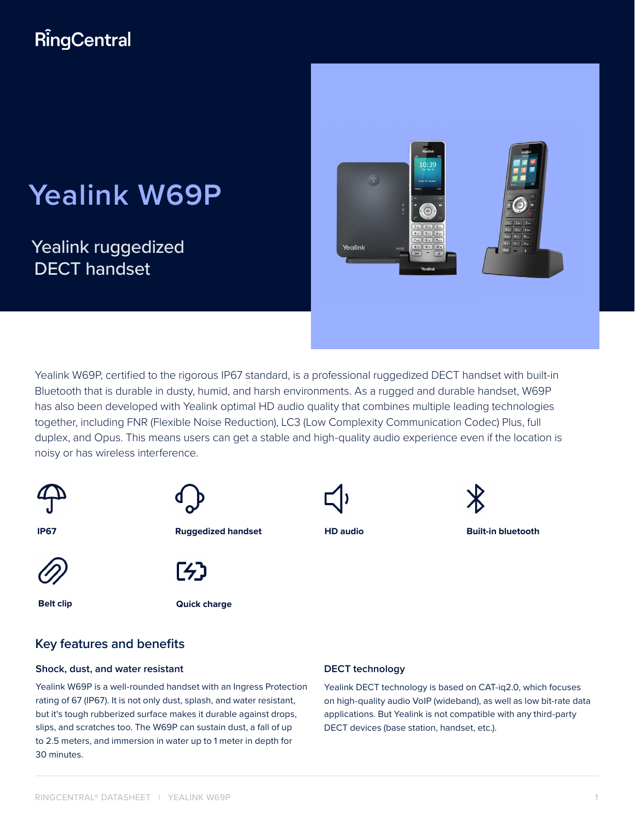# **RingCentral**

# **Yealink W69P**

Yealink ruggedized DECT handset



Yealink W69P, certified to the rigorous IP67 standard, is a professional ruggedized DECT handset with built-in Bluetooth that is durable in dusty, humid, and harsh environments. As a rugged and durable handset, W69P has also been developed with Yealink optimal HD audio quality that combines multiple leading technologies together, including FNR (Flexible Noise Reduction), LC3 (Low Complexity Communication Codec) Plus, full duplex, and Opus. This means users can get a stable and high-quality audio experience even if the location is noisy or has wireless interference.



### **Key features and benefits**

#### **Shock, dust, and water resistant**

Yealink W69P is a well-rounded handset with an Ingress Protection rating of 67 (IP67). It is not only dust, splash, and water resistant, but it's tough rubberized surface makes it durable against drops, slips, and scratches too. The W69P can sustain dust, a fall of up to 2.5 meters, and immersion in water up to 1 meter in depth for 30 minutes.

#### **DECT technology**

Yealink DECT technology is based on CAT-iq2.0, which focuses on high-quality audio VoIP (wideband), as well as low bit-rate data applications. But Yealink is not compatible with any third-party DECT devices (base station, handset, etc.).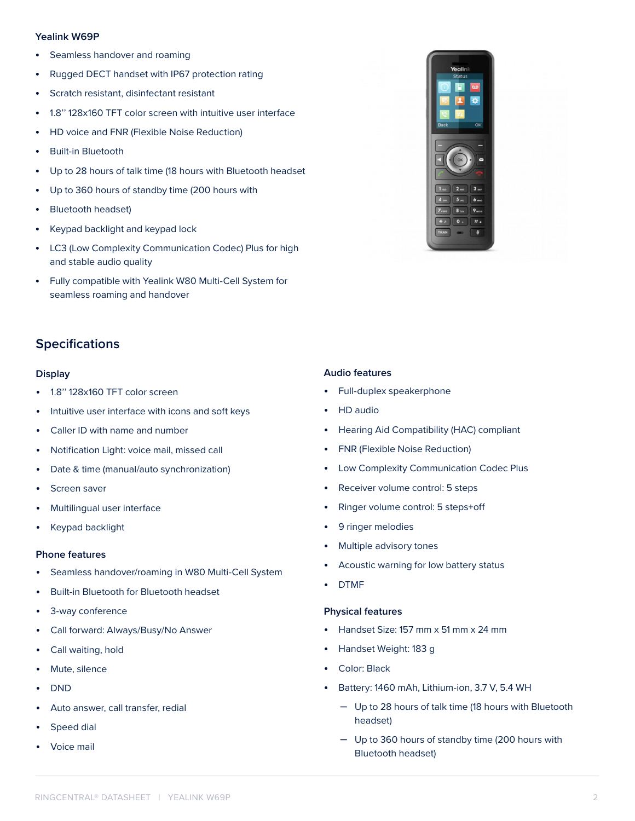#### **Yealink W69P**

- Seamless handover and roaming
- Rugged DECT handset with IP67 protection rating
- Scratch resistant, disinfectant resistant
- 1.8'' 128x160 TFT color screen with intuitive user interface
- HD voice and FNR (Flexible Noise Reduction)
- Built-in Bluetooth
- Up to 28 hours of talk time (18 hours with Bluetooth headset
- Up to 360 hours of standby time (200 hours with
- Bluetooth headset)
- Keypad backlight and keypad lock
- LC3 (Low Complexity Communication Codec) Plus for high and stable audio quality
- Fully compatible with Yealink W80 Multi-Cell System for seamless roaming and handover



## **Specifications**

#### **Display**

- 1.8'' 128x160 TFT color screen
- Intuitive user interface with icons and soft keys
- Caller ID with name and number
- Notification Light: voice mail, missed call
- Date & time (manual/auto synchronization)
- Screen saver
- Multilingual user interface
- Keypad backlight

#### **Phone features**

- Seamless handover/roaming in W80 Multi-Cell System
- Built-in Bluetooth for Bluetooth headset
- 3-way conference
- Call forward: Always/Busy/No Answer
- Call waiting, hold
- Mute, silence
- DND
- Auto answer, call transfer, redial
- Speed dial
- Voice mail

#### **Audio features**

- Full-duplex speakerphone
- HD audio
- Hearing Aid Compatibility (HAC) compliant
- FNR (Flexible Noise Reduction)
- Low Complexity Communication Codec Plus
- Receiver volume control: 5 steps
- Ringer volume control: 5 steps+off
- 9 ringer melodies
- Multiple advisory tones
- Acoustic warning for low battery status
- DTMF

#### **Physical features**

- Handset Size: 157 mm x 51 mm x 24 mm
- Handset Weight: 183 g
- Color: Black
- Battery: 1460 mAh, Lithium-ion, 3.7 V, 5.4 WH
	- Up to 28 hours of talk time (18 hours with Bluetooth headset)
	- Up to 360 hours of standby time (200 hours with Bluetooth headset)